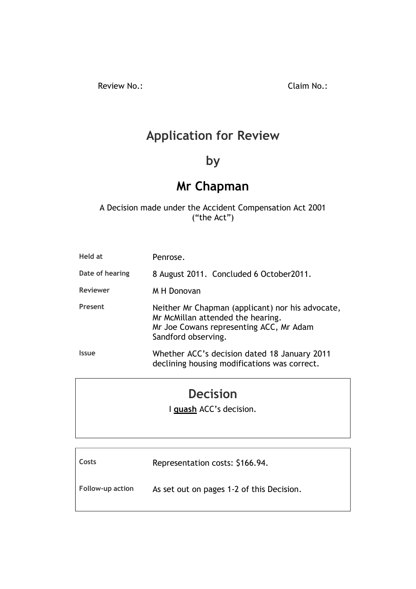Review No.: Claim No.:

# **Application for Review**

# **by**

# **Mr Chapman**

# A Decision made under the Accident Compensation Act 2001 ("the Act")

| Held at         | Penrose.                                                                                                                                                |
|-----------------|---------------------------------------------------------------------------------------------------------------------------------------------------------|
| Date of hearing | 8 August 2011. Concluded 6 October2011.                                                                                                                 |
| <b>Reviewer</b> | M H Donovan                                                                                                                                             |
| Present         | Neither Mr Chapman (applicant) nor his advocate,<br>Mr McMillan attended the hearing.<br>Mr Joe Cowans representing ACC, Mr Adam<br>Sandford observing. |
| <b>Issue</b>    | Whether ACC's decision dated 18 January 2011<br>declining housing modifications was correct.                                                            |

# **Decision**

I **quash** ACC's decision.

| Costs                   | Representation costs: \$166.94.           |
|-------------------------|-------------------------------------------|
| <b>Follow-up action</b> | As set out on pages 1-2 of this Decision. |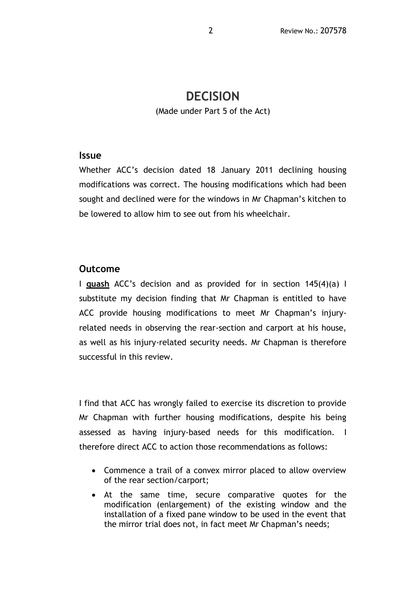# **DECISION**

(Made under Part 5 of the Act)

#### **Issue**

Whether ACC's decision dated 18 January 2011 declining housing modifications was correct. The housing modifications which had been sought and declined were for the windows in Mr Chapman's kitchen to be lowered to allow him to see out from his wheelchair.

# **Outcome**

I **quash** ACC's decision and as provided for in section 145(4)(a) I substitute my decision finding that Mr Chapman is entitled to have ACC provide housing modifications to meet Mr Chapman's injuryrelated needs in observing the rear-section and carport at his house, as well as his injury-related security needs. Mr Chapman is therefore successful in this review.

I find that ACC has wrongly failed to exercise its discretion to provide Mr Chapman with further housing modifications, despite his being assessed as having injury-based needs for this modification. I therefore direct ACC to action those recommendations as follows:

- Commence a trail of a convex mirror placed to allow overview of the rear section/carport;
- At the same time, secure comparative quotes for the modification (enlargement) of the existing window and the installation of a fixed pane window to be used in the event that the mirror trial does not, in fact meet Mr Chapman's needs;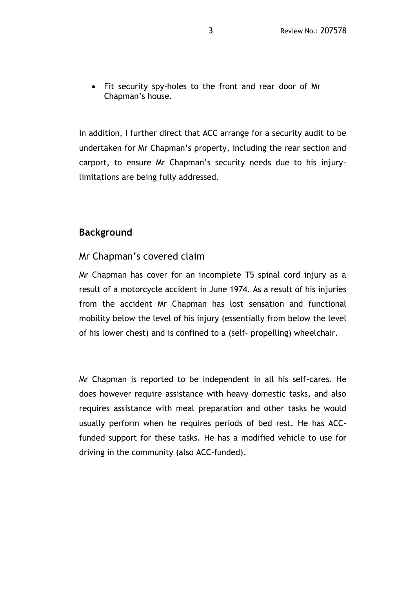Fit security spy-holes to the front and rear door of Mr Chapman's house.

In addition, I further direct that ACC arrange for a security audit to be undertaken for Mr Chapman's property, including the rear section and carport, to ensure Mr Chapman's security needs due to his injurylimitations are being fully addressed.

### **Background**

#### Mr Chapman's covered claim

Mr Chapman has cover for an incomplete T5 spinal cord injury as a result of a motorcycle accident in June 1974. As a result of his injuries from the accident Mr Chapman has lost sensation and functional mobility below the level of his injury (essentially from below the level of his lower chest) and is confined to a (self- propelling) wheelchair.

Mr Chapman is reported to be independent in all his self-cares. He does however require assistance with heavy domestic tasks, and also requires assistance with meal preparation and other tasks he would usually perform when he requires periods of bed rest. He has ACCfunded support for these tasks. He has a modified vehicle to use for driving in the community (also ACC-funded).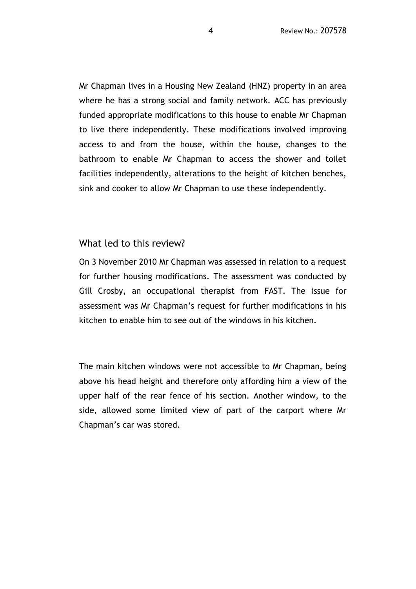Mr Chapman lives in a Housing New Zealand (HNZ) property in an area where he has a strong social and family network. ACC has previously funded appropriate modifications to this house to enable Mr Chapman to live there independently. These modifications involved improving access to and from the house, within the house, changes to the bathroom to enable Mr Chapman to access the shower and toilet facilities independently, alterations to the height of kitchen benches, sink and cooker to allow Mr Chapman to use these independently.

#### What led to this review?

On 3 November 2010 Mr Chapman was assessed in relation to a request for further housing modifications. The assessment was conducted by Gill Crosby, an occupational therapist from FAST. The issue for assessment was Mr Chapman's request for further modifications in his kitchen to enable him to see out of the windows in his kitchen.

The main kitchen windows were not accessible to Mr Chapman, being above his head height and therefore only affording him a view of the upper half of the rear fence of his section. Another window, to the side, allowed some limited view of part of the carport where Mr Chapman's car was stored.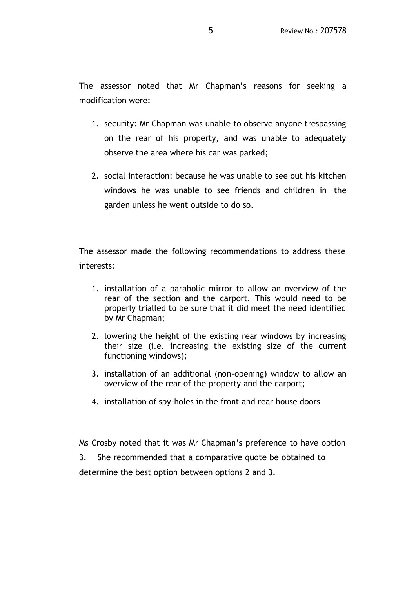The assessor noted that Mr Chapman's reasons for seeking a modification were:

- 1. security: Mr Chapman was unable to observe anyone trespassing on the rear of his property, and was unable to adequately observe the area where his car was parked;
- 2. social interaction: because he was unable to see out his kitchen windows he was unable to see friends and children in the garden unless he went outside to do so.

The assessor made the following recommendations to address these interests:

- 1. installation of a parabolic mirror to allow an overview of the rear of the section and the carport. This would need to be properly trialled to be sure that it did meet the need identified by Mr Chapman;
- 2. lowering the height of the existing rear windows by increasing their size (i.e. increasing the existing size of the current functioning windows);
- 3. installation of an additional (non-opening) window to allow an overview of the rear of the property and the carport;
- 4. installation of spy-holes in the front and rear house doors

Ms Crosby noted that it was Mr Chapman's preference to have option

3. She recommended that a comparative quote be obtained to

determine the best option between options 2 and 3.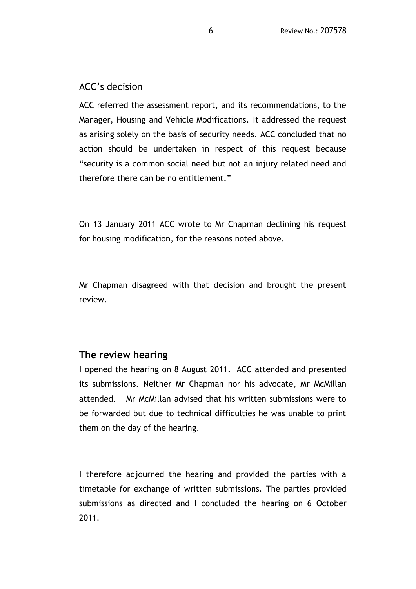## ACC's decision

ACC referred the assessment report, and its recommendations, to the Manager, Housing and Vehicle Modifications. It addressed the request as arising solely on the basis of security needs. ACC concluded that no action should be undertaken in respect of this request because "security is a common social need but not an injury related need and therefore there can be no entitlement."

On 13 January 2011 ACC wrote to Mr Chapman declining his request for housing modification, for the reasons noted above.

Mr Chapman disagreed with that decision and brought the present review.

#### **The review hearing**

I opened the hearing on 8 August 2011. ACC attended and presented its submissions. Neither Mr Chapman nor his advocate, Mr McMillan attended. Mr McMillan advised that his written submissions were to be forwarded but due to technical difficulties he was unable to print them on the day of the hearing.

I therefore adjourned the hearing and provided the parties with a timetable for exchange of written submissions. The parties provided submissions as directed and I concluded the hearing on 6 October 2011.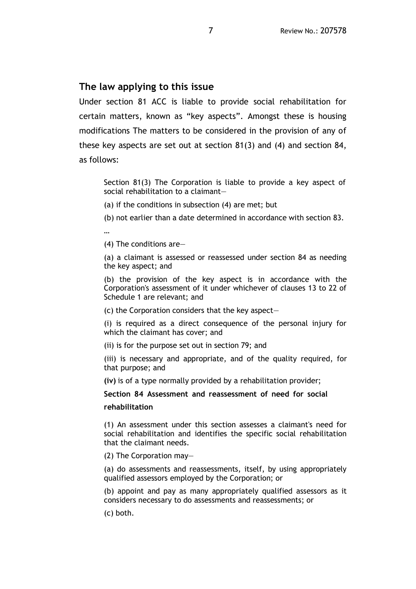# **The law applying to this issue**

Under section 81 ACC is liable to provide social rehabilitation for certain matters, known as "key aspects". Amongst these is housing modifications The matters to be considered in the provision of any of these key aspects are set out at section 81(3) and (4) and section 84, as follows:

Section 81(3) The Corporation is liable to provide a key aspect of social rehabilitation to a claimant—

(a) if the conditions in subsection (4) are met; but

(b) not earlier than a date determined in accordance with section 83.

…

(4) The conditions are—

(a) a claimant is assessed or reassessed under section 84 as needing the key aspect; and

(b) the provision of the key aspect is in accordance with the Corporation's assessment of it under whichever of clauses 13 to 22 of Schedule 1 are relevant; and

(c) the Corporation considers that the key aspect—

(i) is required as a direct consequence of the personal injury for which the claimant has cover; and

(ii) is for the purpose set out in section 79; and

(iii) is necessary and appropriate, and of the quality required, for that purpose; and

**(iv)** is of a type normally provided by a rehabilitation provider;

**Section 84 Assessment and reassessment of need for social** 

#### **rehabilitation**

(1) An assessment under this section assesses a claimant's need for social rehabilitation and identifies the specific social rehabilitation that the claimant needs.

(2) The Corporation may—

(a) do assessments and reassessments, itself, by using appropriately qualified assessors employed by the Corporation; or

(b) appoint and pay as many appropriately qualified assessors as it considers necessary to do assessments and reassessments; or

(c) both.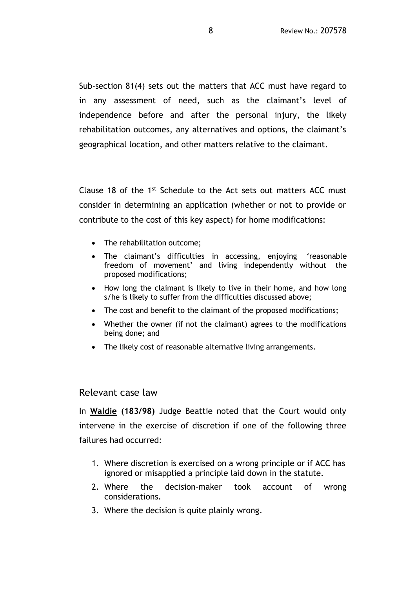Sub-section 81(4) sets out the matters that ACC must have regard to in any assessment of need, such as the claimant's level of independence before and after the personal injury, the likely rehabilitation outcomes, any alternatives and options, the claimant's geographical location, and other matters relative to the claimant.

Clause 18 of the 1<sup>st</sup> Schedule to the Act sets out matters ACC must consider in determining an application (whether or not to provide or contribute to the cost of this key aspect) for home modifications:

- The rehabilitation outcome;
- The claimant's difficulties in accessing, enjoying 'reasonable freedom of movement' and living independently without the proposed modifications;
- How long the claimant is likely to live in their home, and how long s/he is likely to suffer from the difficulties discussed above;
- The cost and benefit to the claimant of the proposed modifications;
- Whether the owner (if not the claimant) agrees to the modifications being done; and
- The likely cost of reasonable alternative living arrangements.

#### Relevant case law

In **Waldie (183/98)** Judge Beattie noted that the Court would only intervene in the exercise of discretion if one of the following three failures had occurred:

- 1. Where discretion is exercised on a wrong principle or if ACC has ignored or misapplied a principle laid down in the statute.
- 2. Where the decision-maker took account of wrong considerations.
- 3. Where the decision is quite plainly wrong.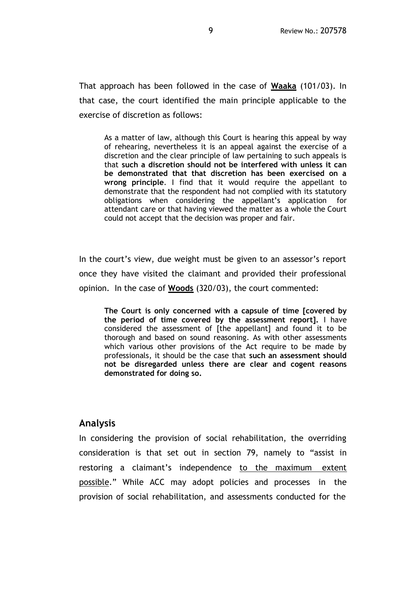That approach has been followed in the case of **Waaka** (101/03). In that case, the court identified the main principle applicable to the exercise of discretion as follows:

As a matter of law, although this Court is hearing this appeal by way of rehearing, nevertheless it is an appeal against the exercise of a discretion and the clear principle of law pertaining to such appeals is that **such a discretion should not be interfered with unless it can be demonstrated that that discretion has been exercised on a wrong principle**. I find that it would require the appellant to demonstrate that the respondent had not complied with its statutory obligations when considering the appellant's application for attendant care or that having viewed the matter as a whole the Court could not accept that the decision was proper and fair.

In the court's view, due weight must be given to an assessor's report once they have visited the claimant and provided their professional opinion. In the case of **Woods** (320/03), the court commented:

**The Court is only concerned with a capsule of time [covered by the period of time covered by the assessment report].** I have considered the assessment of [the appellant] and found it to be thorough and based on sound reasoning. As with other assessments which various other provisions of the Act require to be made by professionals, it should be the case that **such an assessment should not be disregarded unless there are clear and cogent reasons demonstrated for doing so.** 

### **Analysis**

In considering the provision of social rehabilitation, the overriding consideration is that set out in section 79, namely to "assist in restoring a claimant's independence to the maximum extent possible." While ACC may adopt policies and processes in the provision of social rehabilitation, and assessments conducted for the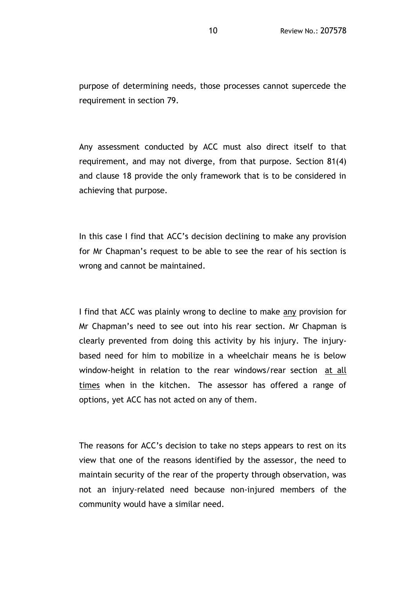purpose of determining needs, those processes cannot supercede the requirement in section 79.

Any assessment conducted by ACC must also direct itself to that requirement, and may not diverge, from that purpose. Section 81(4) and clause 18 provide the only framework that is to be considered in achieving that purpose.

In this case I find that ACC's decision declining to make any provision for Mr Chapman's request to be able to see the rear of his section is wrong and cannot be maintained.

I find that ACC was plainly wrong to decline to make any provision for Mr Chapman's need to see out into his rear section. Mr Chapman is clearly prevented from doing this activity by his injury. The injurybased need for him to mobilize in a wheelchair means he is below window-height in relation to the rear windows/rear section at all times when in the kitchen. The assessor has offered a range of options, yet ACC has not acted on any of them.

The reasons for ACC's decision to take no steps appears to rest on its view that one of the reasons identified by the assessor, the need to maintain security of the rear of the property through observation, was not an injury-related need because non-injured members of the community would have a similar need.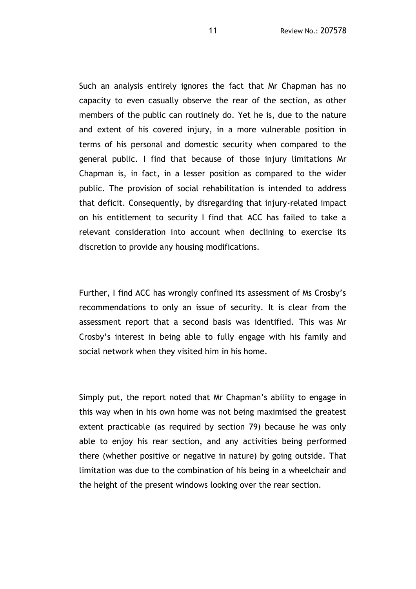Such an analysis entirely ignores the fact that Mr Chapman has no capacity to even casually observe the rear of the section, as other members of the public can routinely do. Yet he is, due to the nature and extent of his covered injury, in a more vulnerable position in terms of his personal and domestic security when compared to the general public. I find that because of those injury limitations Mr Chapman is, in fact, in a lesser position as compared to the wider public. The provision of social rehabilitation is intended to address that deficit. Consequently, by disregarding that injury-related impact on his entitlement to security I find that ACC has failed to take a relevant consideration into account when declining to exercise its discretion to provide any housing modifications.

Further, I find ACC has wrongly confined its assessment of Ms Crosby's recommendations to only an issue of security. It is clear from the assessment report that a second basis was identified. This was Mr Crosby's interest in being able to fully engage with his family and social network when they visited him in his home.

Simply put, the report noted that Mr Chapman's ability to engage in this way when in his own home was not being maximised the greatest extent practicable (as required by section 79) because he was only able to enjoy his rear section, and any activities being performed there (whether positive or negative in nature) by going outside. That limitation was due to the combination of his being in a wheelchair and the height of the present windows looking over the rear section.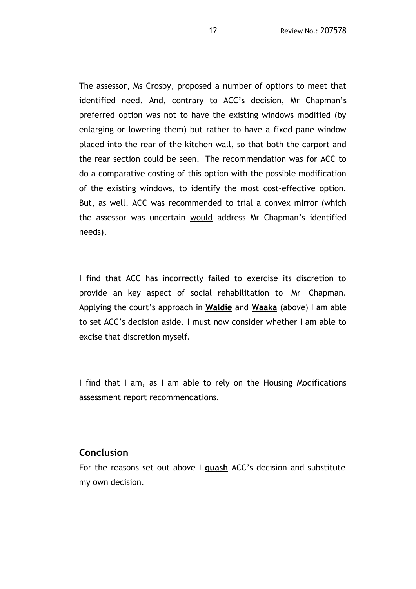The assessor, Ms Crosby, proposed a number of options to meet that identified need. And, contrary to ACC's decision, Mr Chapman's preferred option was not to have the existing windows modified (by enlarging or lowering them) but rather to have a fixed pane window placed into the rear of the kitchen wall, so that both the carport and the rear section could be seen. The recommendation was for ACC to do a comparative costing of this option with the possible modification of the existing windows, to identify the most cost-effective option. But, as well, ACC was recommended to trial a convex mirror (which the assessor was uncertain would address Mr Chapman's identified needs).

I find that ACC has incorrectly failed to exercise its discretion to provide an key aspect of social rehabilitation to Mr Chapman. Applying the court's approach in **Waldie** and **Waaka** (above) I am able to set ACC's decision aside. I must now consider whether I am able to excise that discretion myself.

I find that I am, as I am able to rely on the Housing Modifications assessment report recommendations.

#### **Conclusion**

For the reasons set out above I **quash** ACC's decision and substitute my own decision.